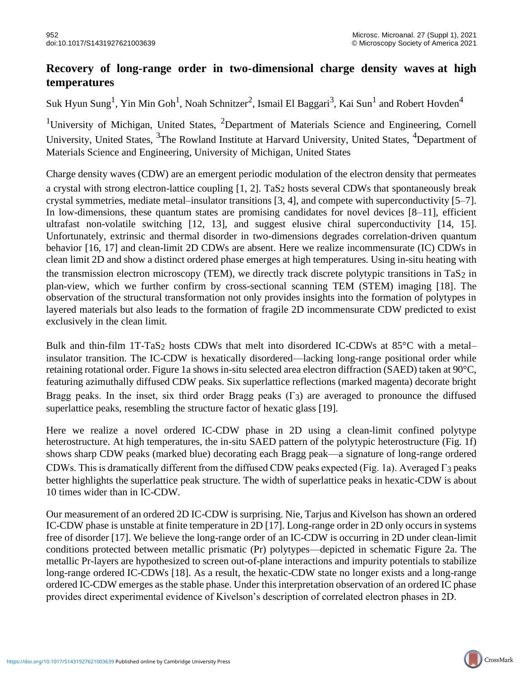## **Recovery of long-range order in two-dimensional charge density waves at high temperatures**

Suk Hyun Sung<sup>1</sup>, Yin Min Goh<sup>1</sup>, Noah Schnitzer<sup>2</sup>, Ismail El Baggari<sup>3</sup>, Kai Sun<sup>1</sup> and Robert Hovden<sup>4</sup>

<sup>1</sup>University of Michigan, United States, <sup>2</sup>Department of Materials Science and Engineering, Cornell University, United States, <sup>3</sup>The Rowland Institute at Harvard University, United States, <sup>4</sup>Department of Materials Science and Engineering, University of Michigan, United States

Charge density waves (CDW) are an emergent periodic modulation of the electron density that permeates a crystal with strong electron-lattice coupling [1, 2]. TaS2 hosts several CDWs that spontaneously break crystal symmetries, mediate metal–insulator transitions [3, 4], and compete with superconductivity [5–7]. In low-dimensions, these quantum states are promising candidates for novel devices [8–11], efficient ultrafast non-volatile switching [12, 13], and suggest elusive chiral superconductivity [14, 15]. Unfortunately, extrinsic and thermal disorder in two-dimensions degrades correlation-driven quantum behavior [16, 17] and clean-limit 2D CDWs are absent. Here we realize incommensurate (IC) CDWs in clean limit 2D and show a distinct ordered phase emerges at high temperatures. Using in-situ heating with the transmission electron microscopy (TEM), we directly track discrete polytypic transitions in TaS2 in plan-view, which we further confirm by cross-sectional scanning TEM (STEM) imaging [18]. The observation of the structural transformation not only provides insights into the formation of polytypes in layered materials but also leads to the formation of fragile 2D incommensurate CDW predicted to exist exclusively in the clean limit.

Bulk and thin-film 1T-TaS2 hosts CDWs that melt into disordered IC-CDWs at 85°C with a metal– insulator transition. The IC-CDW is hexatically disordered—lacking long-range positional order while retaining rotational order. Figure 1a shows in-situ selected area electron diffraction (SAED) taken at 90°C, featuring azimuthally diffused CDW peaks. Six superlattice reflections (marked magenta) decorate bright Bragg peaks. In the inset, six third order Bragg peaks (Γ3) are averaged to pronounce the diffused superlattice peaks, resembling the structure factor of hexatic glass [19].

Here we realize a novel ordered IC-CDW phase in 2D using a clean-limit confined polytype heterostructure. At high temperatures, the in-situ SAED pattern of the polytypic heterostructure (Fig. 1f) shows sharp CDW peaks (marked blue) decorating each Bragg peak—a signature of long-range ordered CDWs. This is dramatically different from the diffused CDW peaks expected (Fig. 1a). Averaged Γ3 peaks better highlights the superlattice peak structure. The width of superlattice peaks in hexatic-CDW is about 10 times wider than in IC-CDW.

Our measurement of an ordered 2D IC-CDW is surprising. Nie, Tarjus and Kivelson has shown an ordered IC-CDW phase is unstable at finite temperature in 2D [17]. Long-range order in 2D only occurs in systems free of disorder [17]. We believe the long-range order of an IC-CDW is occurring in 2D under clean-limit conditions protected between metallic prismatic (Pr) polytypes—depicted in schematic Figure 2a. The metallic Pr-layers are hypothesized to screen out-of-plane interactions and impurity potentials to stabilize long-range ordered IC-CDWs [18]. As a result, the hexatic-CDW state no longer exists and a long-range ordered IC-CDW emerges as the stable phase. Under this interpretation observation of an ordered IC phase provides direct experimental evidence of Kivelson's description of correlated electron phases in 2D.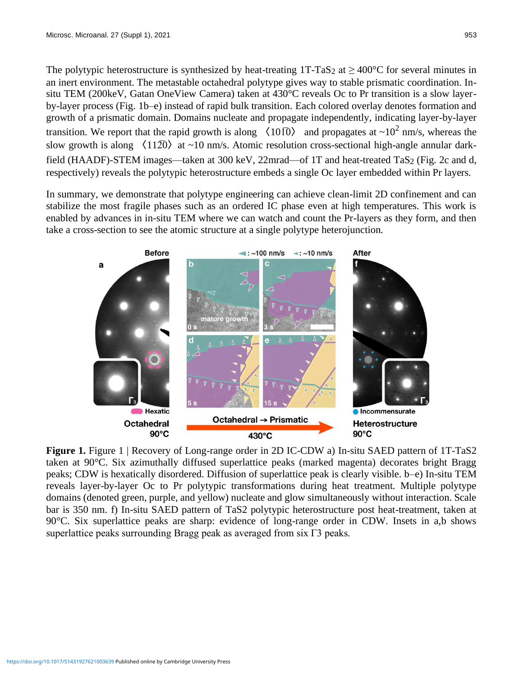The polytypic heterostructure is synthesized by heat-treating 1T-TaS<sub>2</sub> at  $\geq 400^{\circ}$ C for several minutes in an inert environment. The metastable octahedral polytype gives way to stable prismatic coordination. Insitu TEM (200keV, Gatan OneView Camera) taken at 430°C reveals Oc to Pr transition is a slow layerby-layer process (Fig. 1b–e) instead of rapid bulk transition. Each colored overlay denotes formation and growth of a prismatic domain. Domains nucleate and propagate independently, indicating layer-by-layer transition. We report that the rapid growth is along  $\langle 10\overline{0}\rangle$  and propagates at  $\sim 10^2$  nm/s, whereas the slow growth is along  $\langle 11\overline{20} \rangle$  at ~10 nm/s. Atomic resolution cross-sectional high-angle annular darkfield (HAADF)-STEM images—taken at 300 keV, 22mrad—of 1T and heat-treated TaS<sub>2</sub> (Fig. 2c and d, respectively) reveals the polytypic heterostructure embeds a single Oc layer embedded within Pr layers.

In summary, we demonstrate that polytype engineering can achieve clean-limit 2D confinement and can stabilize the most fragile phases such as an ordered IC phase even at high temperatures. This work is enabled by advances in in-situ TEM where we can watch and count the Pr-layers as they form, and then take a cross-section to see the atomic structure at a single polytype heterojunction.



**Figure 1.** Figure 1 | Recovery of Long-range order in 2D IC-CDW a) In-situ SAED pattern of 1T-TaS2 taken at 90°C. Six azimuthally diffused superlattice peaks (marked magenta) decorates bright Bragg peaks; CDW is hexatically disordered. Diffusion of superlattice peak is clearly visible. b–e) In-situ TEM reveals layer-by-layer Oc to Pr polytypic transformations during heat treatment. Multiple polytype domains (denoted green, purple, and yellow) nucleate and glow simultaneously without interaction. Scale bar is 350 nm. f) In-situ SAED pattern of TaS2 polytypic heterostructure post heat-treatment, taken at 90°C. Six superlattice peaks are sharp: evidence of long-range order in CDW. Insets in a,b shows superlattice peaks surrounding Bragg peak as averaged from six Γ3 peaks.